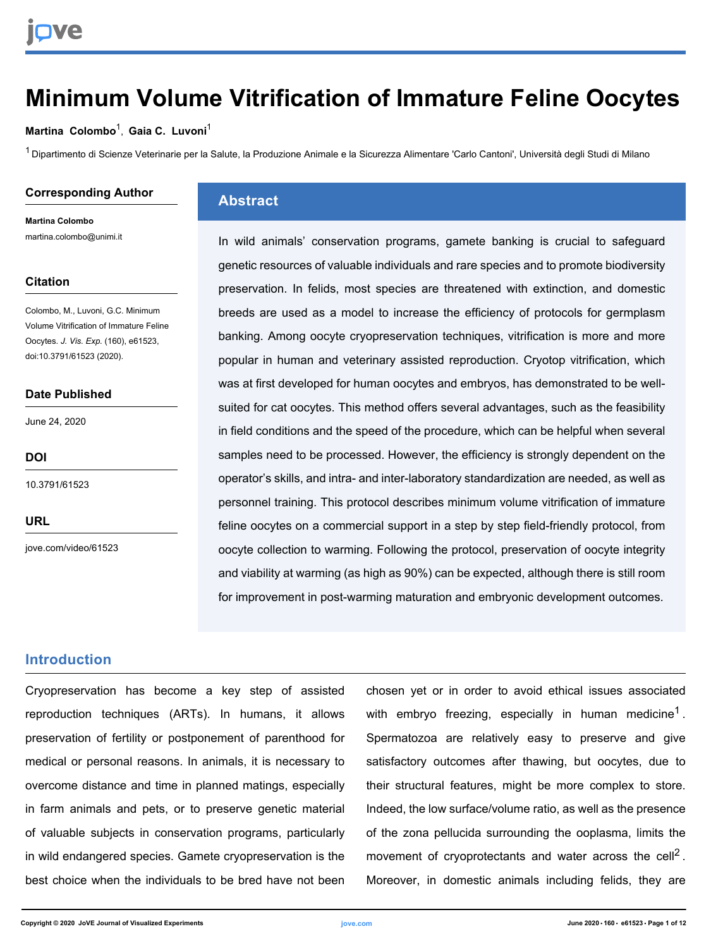## **Minimum Volume Vitrification of Immature Feline Oocytes**

#### **[Martina Colombo](https://www.jove.com/author/Martina_Colombo)**<sup>1</sup> , **[Gaia C. Luvoni](https://www.jove.com/author/Gaia%20C._Luvoni)**<sup>1</sup>

<sup>1</sup> Dipartimento di Scienze Veterinarie per la Salute, la Produzione Animale e la Sicurezza Alimentare 'Carlo Cantoni', Università degli Studi di Milano

#### **Corresponding Author**

**Martina Colombo** martina.colombo@unimi.it

#### **Citation**

Colombo, M., Luvoni, G.C. Minimum Volume Vitrification of Immature Feline Oocytes. *J. Vis. Exp.* (160), e61523, doi:10.3791/61523 (2020).

#### **Date Published**

June 24, 2020

**DOI**

[10.3791/61523](http://dx.doi.org/10.3791/61523)

**URL**

[jove.com/video/61523](https://www.jove.com/video/61523)

### **Abstract**

In wild animals' conservation programs, gamete banking is crucial to safeguard genetic resources of valuable individuals and rare species and to promote biodiversity preservation. In felids, most species are threatened with extinction, and domestic breeds are used as a model to increase the efficiency of protocols for germplasm banking. Among oocyte cryopreservation techniques, vitrification is more and more popular in human and veterinary assisted reproduction. Cryotop vitrification, which was at first developed for human oocytes and embryos, has demonstrated to be wellsuited for cat oocytes. This method offers several advantages, such as the feasibility in field conditions and the speed of the procedure, which can be helpful when several samples need to be processed. However, the efficiency is strongly dependent on the operator's skills, and intra- and inter-laboratory standardization are needed, as well as personnel training. This protocol describes minimum volume vitrification of immature feline oocytes on a commercial support in a step by step field-friendly protocol, from oocyte collection to warming. Following the protocol, preservation of oocyte integrity and viability at warming (as high as 90%) can be expected, although there is still room for improvement in post-warming maturation and embryonic development outcomes.

### **Introduction**

Cryopreservation has become a key step of assisted reproduction techniques (ARTs). In humans, it allows preservation of fertility or postponement of parenthood for medical or personal reasons. In animals, it is necessary to overcome distance and time in planned matings, especially in farm animals and pets, or to preserve genetic material of valuable subjects in conservation programs, particularly in wild endangered species. Gamete cryopreservation is the best choice when the individuals to be bred have not been chosen yet or in order to avoid ethical issues associated with embryo freezing, especially in human medicine<sup>1</sup>. Spermatozoa are relatively easy to preserve and give satisfactory outcomes after thawing, but oocytes, due to their structural features, might be more complex to store. Indeed, the low surface/volume ratio, as well as the presence of the zona pellucida surrounding the ooplasma, limits the movement of cryoprotectants and water across the cell<sup>2</sup>. Moreover, in domestic animals including felids, they are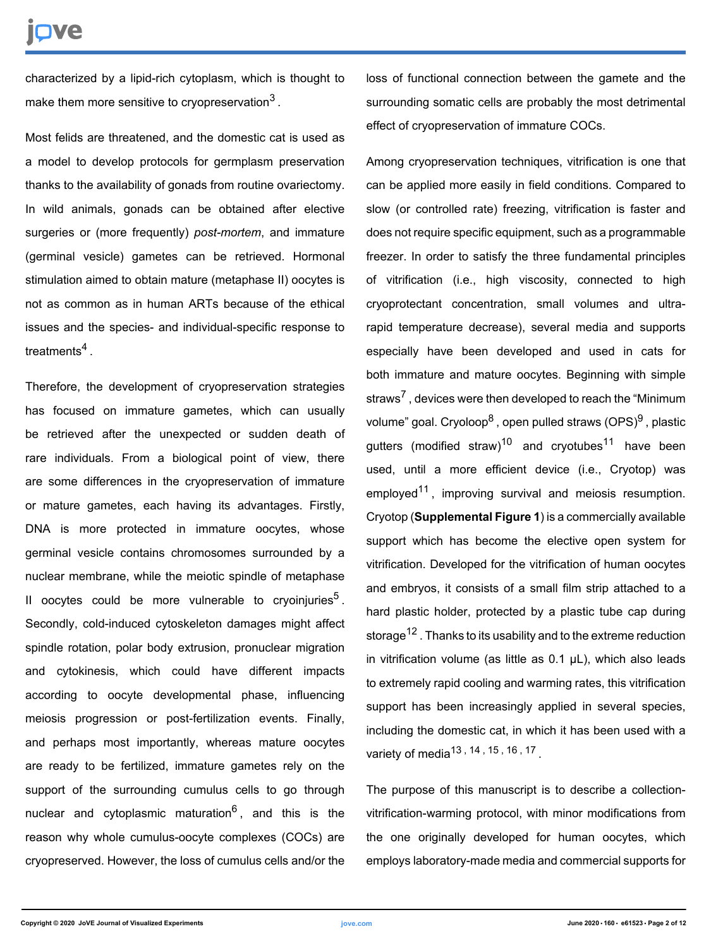## Ove

characterized by a lipid-rich cytoplasm, which is thought to make them more sensitive to cryopreservation $^3$ .

Most felids are threatened, and the domestic cat is used as a model to develop protocols for germplasm preservation thanks to the availability of gonads from routine ovariectomy. In wild animals, gonads can be obtained after elective surgeries or (more frequently) *post-mortem*, and immature (germinal vesicle) gametes can be retrieved. Hormonal stimulation aimed to obtain mature (metaphase II) oocytes is not as common as in human ARTs because of the ethical issues and the species- and individual-specific response to treatments<sup>4</sup> .

Therefore, the development of cryopreservation strategies has focused on immature gametes, which can usually be retrieved after the unexpected or sudden death of rare individuals. From a biological point of view, there are some differences in the cryopreservation of immature or mature gametes, each having its advantages. Firstly, DNA is more protected in immature oocytes, whose germinal vesicle contains chromosomes surrounded by a nuclear membrane, while the meiotic spindle of metaphase II oocytes could be more vulnerable to cryoinjuries<sup>5</sup>. Secondly, cold-induced cytoskeleton damages might affect spindle rotation, polar body extrusion, pronuclear migration and cytokinesis, which could have different impacts according to oocyte developmental phase, influencing meiosis progression or post-fertilization events. Finally, and perhaps most importantly, whereas mature oocytes are ready to be fertilized, immature gametes rely on the support of the surrounding cumulus cells to go through nuclear and cytoplasmic maturation<sup>6</sup>, and this is the reason why whole cumulus-oocyte complexes (COCs) are cryopreserved. However, the loss of cumulus cells and/or the

loss of functional connection between the gamete and the surrounding somatic cells are probably the most detrimental effect of cryopreservation of immature COCs.

Among cryopreservation techniques, vitrification is one that can be applied more easily in field conditions. Compared to slow (or controlled rate) freezing, vitrification is faster and does not require specific equipment, such as a programmable freezer. In order to satisfy the three fundamental principles of vitrification (i.e., high viscosity, connected to high cryoprotectant concentration, small volumes and ultrarapid temperature decrease), several media and supports especially have been developed and used in cats for both immature and mature oocytes. Beginning with simple straws<sup>7</sup>, devices were then developed to reach the "Minimum volume" goal. Cryoloop<sup>8</sup> , open pulled straws (OPS)<sup>9</sup> , plastic gutters (modified straw)<sup>10</sup> and cryotubes<sup>11</sup> have been used, until a more efficient device (i.e., Cryotop) was employed<sup>11</sup>, improving survival and meiosis resumption. Cryotop (**Supplemental Figure 1**) is a commercially available support which has become the elective open system for vitrification. Developed for the vitrification of human oocytes and embryos, it consists of a small film strip attached to a hard plastic holder, protected by a plastic tube cap during storage<sup>12</sup>. Thanks to its usability and to the extreme reduction in vitrification volume (as little as  $0.1$   $\mu$ L), which also leads to extremely rapid cooling and warming rates, this vitrification support has been increasingly applied in several species, including the domestic cat, in which it has been used with a variety of media<sup>13</sup>, <sup>14</sup>, <sup>15</sup>, <sup>16</sup>, <sup>17</sup>.

The purpose of this manuscript is to describe a collectionvitrification-warming protocol, with minor modifications from the one originally developed for human oocytes, which employs laboratory-made media and commercial supports for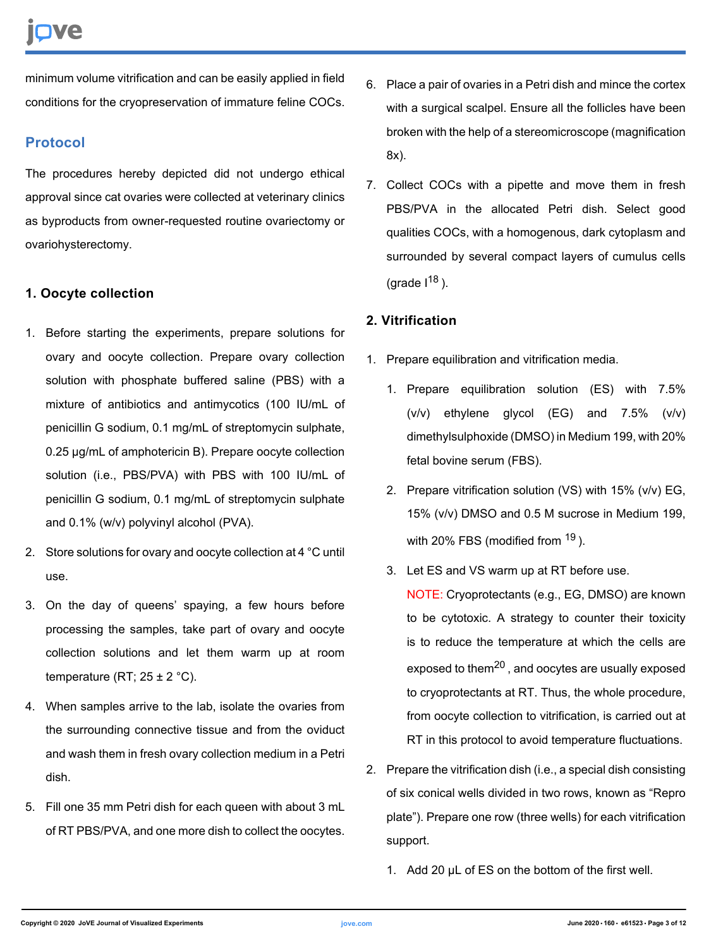minimum volume vitrification and can be easily applied in field conditions for the cryopreservation of immature feline COCs.

## **Protocol**

The procedures hereby depicted did not undergo ethical approval since cat ovaries were collected at veterinary clinics as byproducts from owner-requested routine ovariectomy or ovariohysterectomy.

### **1. Oocyte collection**

- 1. Before starting the experiments, prepare solutions for ovary and oocyte collection. Prepare ovary collection solution with phosphate buffered saline (PBS) with a mixture of antibiotics and antimycotics (100 IU/mL of penicillin G sodium, 0.1 mg/mL of streptomycin sulphate, 0.25 μg/mL of amphotericin B). Prepare oocyte collection solution (i.e., PBS/PVA) with PBS with 100 IU/mL of penicillin G sodium, 0.1 mg/mL of streptomycin sulphate and 0.1% (w/v) polyvinyl alcohol (PVA).
- 2. Store solutions for ovary and oocyte collection at 4 °C until use.
- 3. On the day of queens' spaying, a few hours before processing the samples, take part of ovary and oocyte collection solutions and let them warm up at room temperature (RT;  $25 \pm 2$  °C).
- 4. When samples arrive to the lab, isolate the ovaries from the surrounding connective tissue and from the oviduct and wash them in fresh ovary collection medium in a Petri dish.
- 5. Fill one 35 mm Petri dish for each queen with about 3 mL of RT PBS/PVA, and one more dish to collect the oocytes.
- 6. Place a pair of ovaries in a Petri dish and mince the cortex with a surgical scalpel. Ensure all the follicles have been broken with the help of a stereomicroscope (magnification 8x).
- 7. Collect COCs with a pipette and move them in fresh PBS/PVA in the allocated Petri dish. Select good qualities COCs, with a homogenous, dark cytoplasm and surrounded by several compact layers of cumulus cells (grade  $1^{18}$ ).

### **2. Vitrification**

- 1. Prepare equilibration and vitrification media.
	- 1. Prepare equilibration solution (ES) with 7.5% (v/v) ethylene glycol (EG) and 7.5% (v/v) dimethylsulphoxide (DMSO) in Medium 199, with 20% fetal bovine serum (FBS).
	- 2. Prepare vitrification solution (VS) with 15% (v/v) EG, 15% (v/v) DMSO and 0.5 M sucrose in Medium 199, with 20% FBS (modified from <sup>19</sup>).
	- 3. Let ES and VS warm up at RT before use.

NOTE: Cryoprotectants (e.g., EG, DMSO) are known to be cytotoxic. A strategy to counter their toxicity is to reduce the temperature at which the cells are exposed to them<sup>20</sup>, and oocytes are usually exposed to cryoprotectants at RT. Thus, the whole procedure, from oocyte collection to vitrification, is carried out at RT in this protocol to avoid temperature fluctuations.

- 2. Prepare the vitrification dish (i.e., a special dish consisting of six conical wells divided in two rows, known as "Repro plate"). Prepare one row (three wells) for each vitrification support.
	- 1. Add 20 µL of ES on the bottom of the first well.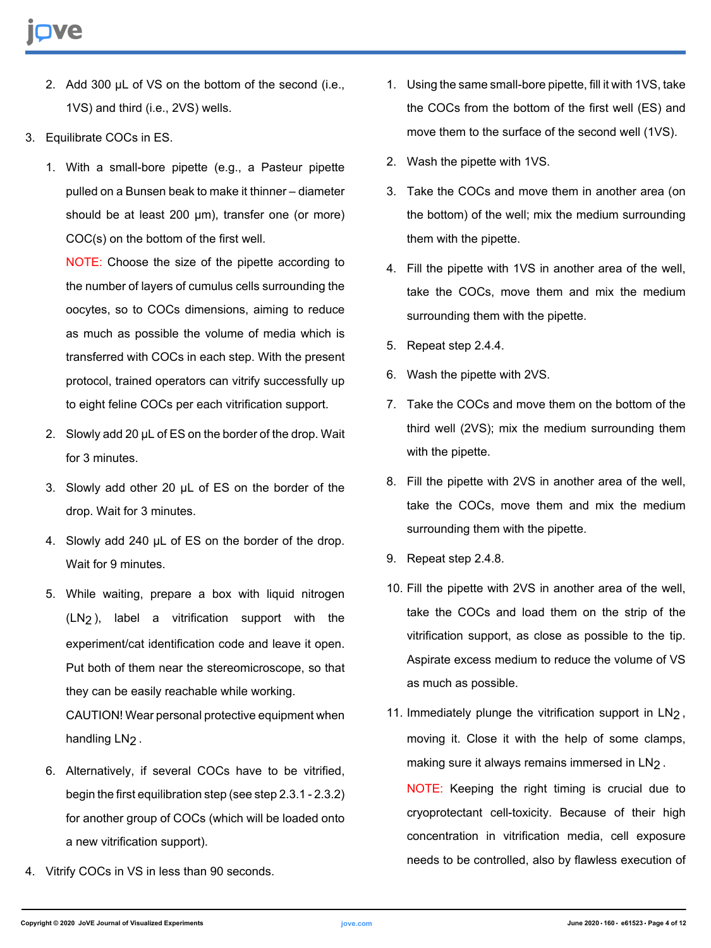- 2. Add 300 µL of VS on the bottom of the second (i.e., 1VS) and third (i.e., 2VS) wells.
- 3. Equilibrate COCs in ES.
	- 1. With a small-bore pipette (e.g., a Pasteur pipette pulled on a Bunsen beak to make it thinner – diameter should be at least 200 µm), transfer one (or more) COC(s) on the bottom of the first well.

NOTE: Choose the size of the pipette according to the number of layers of cumulus cells surrounding the oocytes, so to COCs dimensions, aiming to reduce as much as possible the volume of media which is transferred with COCs in each step. With the present protocol, trained operators can vitrify successfully up to eight feline COCs per each vitrification support.

- 2. Slowly add 20 µL of ES on the border of the drop. Wait for 3 minutes.
- 3. Slowly add other 20 µL of ES on the border of the drop. Wait for 3 minutes.
- 4. Slowly add 240 µL of ES on the border of the drop. Wait for 9 minutes.
- 5. While waiting, prepare a box with liquid nitrogen (LN2), label a vitrification support with the experiment/cat identification code and leave it open. Put both of them near the stereomicroscope, so that they can be easily reachable while working. CAUTION! Wear personal protective equipment when

handling LN<sub>2</sub>.

- 6. Alternatively, if several COCs have to be vitrified, begin the first equilibration step (see step 2.3.1 - 2.3.2) for another group of COCs (which will be loaded onto a new vitrification support).
- 4. Vitrify COCs in VS in less than 90 seconds.
- 1. Using the same small-bore pipette, fill it with 1VS, take the COCs from the bottom of the first well (ES) and move them to the surface of the second well (1VS).
- 2. Wash the pipette with 1VS.
- 3. Take the COCs and move them in another area (on the bottom) of the well; mix the medium surrounding them with the pipette.
- 4. Fill the pipette with 1VS in another area of the well, take the COCs, move them and mix the medium surrounding them with the pipette.
- 5. Repeat step 2.4.4.
- 6. Wash the pipette with 2VS.
- 7. Take the COCs and move them on the bottom of the third well (2VS); mix the medium surrounding them with the pipette.
- 8. Fill the pipette with 2VS in another area of the well, take the COCs, move them and mix the medium surrounding them with the pipette.
- 9. Repeat step 2.4.8.
- 10. Fill the pipette with 2VS in another area of the well, take the COCs and load them on the strip of the vitrification support, as close as possible to the tip. Aspirate excess medium to reduce the volume of VS as much as possible.
- 11. Immediately plunge the vitrification support in LN<sub>2</sub>, moving it. Close it with the help of some clamps, making sure it always remains immersed in LN2.

NOTE: Keeping the right timing is crucial due to cryoprotectant cell-toxicity. Because of their high concentration in vitrification media, cell exposure needs to be controlled, also by flawless execution of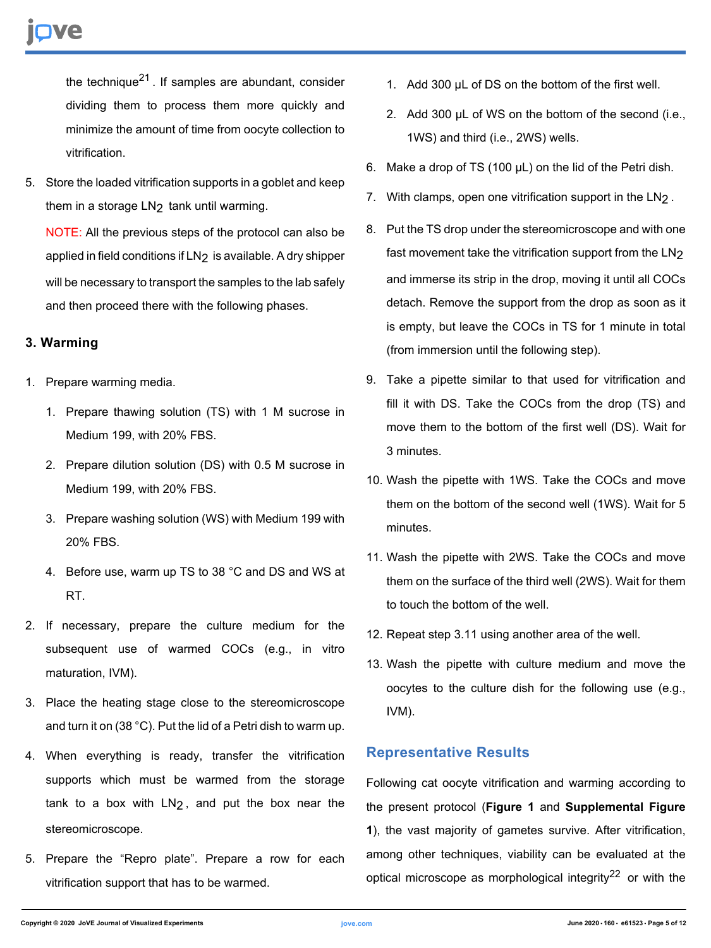the technique $^{21}$ . If samples are abundant, consider dividing them to process them more quickly and minimize the amount of time from oocyte collection to vitrification.

5. Store the loaded vitrification supports in a goblet and keep them in a storage LN<sub>2</sub> tank until warming.

NOTE: All the previous steps of the protocol can also be applied in field conditions if LN<sub>2</sub> is available. A dry shipper will be necessary to transport the samples to the lab safely and then proceed there with the following phases.

### **3. Warming**

- 1. Prepare warming media.
	- 1. Prepare thawing solution (TS) with 1 M sucrose in Medium 199, with 20% FBS.
	- 2. Prepare dilution solution (DS) with 0.5 M sucrose in Medium 199, with 20% FBS.
	- 3. Prepare washing solution (WS) with Medium 199 with 20% FBS.
	- 4. Before use, warm up TS to 38 °C and DS and WS at RT.
- 2. If necessary, prepare the culture medium for the subsequent use of warmed COCs (e.g., in vitro maturation, IVM).
- 3. Place the heating stage close to the stereomicroscope and turn it on (38 °C). Put the lid of a Petri dish to warm up.
- 4. When everything is ready, transfer the vitrification supports which must be warmed from the storage tank to a box with  $LN<sub>2</sub>$ , and put the box near the stereomicroscope.
- 5. Prepare the "Repro plate". Prepare a row for each vitrification support that has to be warmed.
- 1. Add 300 µL of DS on the bottom of the first well.
- 2. Add 300 µL of WS on the bottom of the second (i.e., 1WS) and third (i.e., 2WS) wells.
- 6. Make a drop of TS (100 µL) on the lid of the Petri dish.
- 7. With clamps, open one vitrification support in the LN<sub>2</sub>.
- 8. Put the TS drop under the stereomicroscope and with one fast movement take the vitrification support from the LN2 and immerse its strip in the drop, moving it until all COCs detach. Remove the support from the drop as soon as it is empty, but leave the COCs in TS for 1 minute in total (from immersion until the following step).
- 9. Take a pipette similar to that used for vitrification and fill it with DS. Take the COCs from the drop (TS) and move them to the bottom of the first well (DS). Wait for 3 minutes.
- 10. Wash the pipette with 1WS. Take the COCs and move them on the bottom of the second well (1WS). Wait for 5 minutes.
- 11. Wash the pipette with 2WS. Take the COCs and move them on the surface of the third well (2WS). Wait for them to touch the bottom of the well.
- 12. Repeat step 3.11 using another area of the well.
- 13. Wash the pipette with culture medium and move the oocytes to the culture dish for the following use (e.g., IVM).

## **Representative Results**

Following cat oocyte vitrification and warming according to the present protocol (**Figure 1** and **Supplemental Figure 1**), the vast majority of gametes survive. After vitrification, among other techniques, viability can be evaluated at the optical microscope as morphological integrity<sup>22</sup> or with the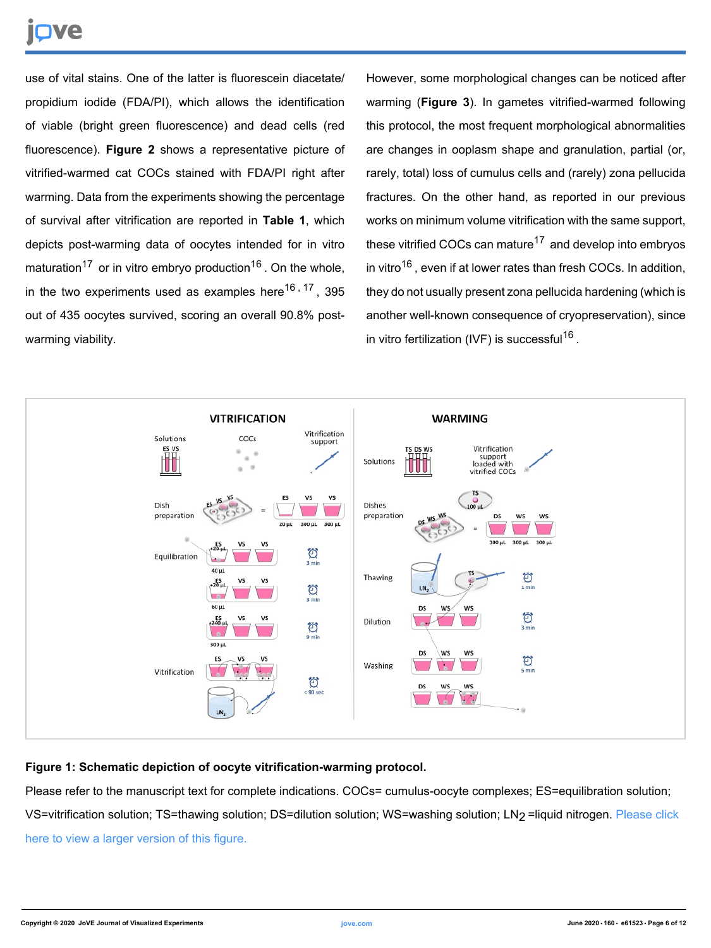# **TVe**

use of vital stains. One of the latter is fluorescein diacetate/ propidium iodide (FDA/PI), which allows the identification of viable (bright green fluorescence) and dead cells (red fluorescence). **Figure 2** shows a representative picture of vitrified-warmed cat COCs stained with FDA/PI right after warming. Data from the experiments showing the percentage of survival after vitrification are reported in **Table 1**, which depicts post-warming data of oocytes intended for in vitro maturation<sup>17</sup> or in vitro embryo production<sup>16</sup>. On the whole, in the two experiments used as examples here<sup>16, 17</sup>, 395 out of 435 oocytes survived, scoring an overall 90.8% postwarming viability.

However, some morphological changes can be noticed after warming (**Figure 3**). In gametes vitrified-warmed following this protocol, the most frequent morphological abnormalities are changes in ooplasm shape and granulation, partial (or, rarely, total) loss of cumulus cells and (rarely) zona pellucida fractures. On the other hand, as reported in our previous works on minimum volume vitrification with the same support, these vitrified COCs can mature<sup>17</sup> and develop into embryos in vitro<sup>16</sup>, even if at lower rates than fresh COCs. In addition, they do not usually present zona pellucida hardening (which is another well-known consequence of cryopreservation), since in vitro fertilization (IVF) is successful<sup>16</sup>.



### **Figure 1: Schematic depiction of oocyte vitrification-warming protocol.**

Please refer to the manuscript text for complete indications. COCs= cumulus-oocyte complexes; ES=equilibration solution; VS=vitrification solution; TS=thawing solution; DS=dilution solution; WS=washing solution; LN2 =liquid nitrogen. [Please click](https://www.jove.com/files/ftp_upload/61523/61523fig01large.jpg) [here to view a larger version of this figure.](https://www.jove.com/files/ftp_upload/61523/61523fig01large.jpg)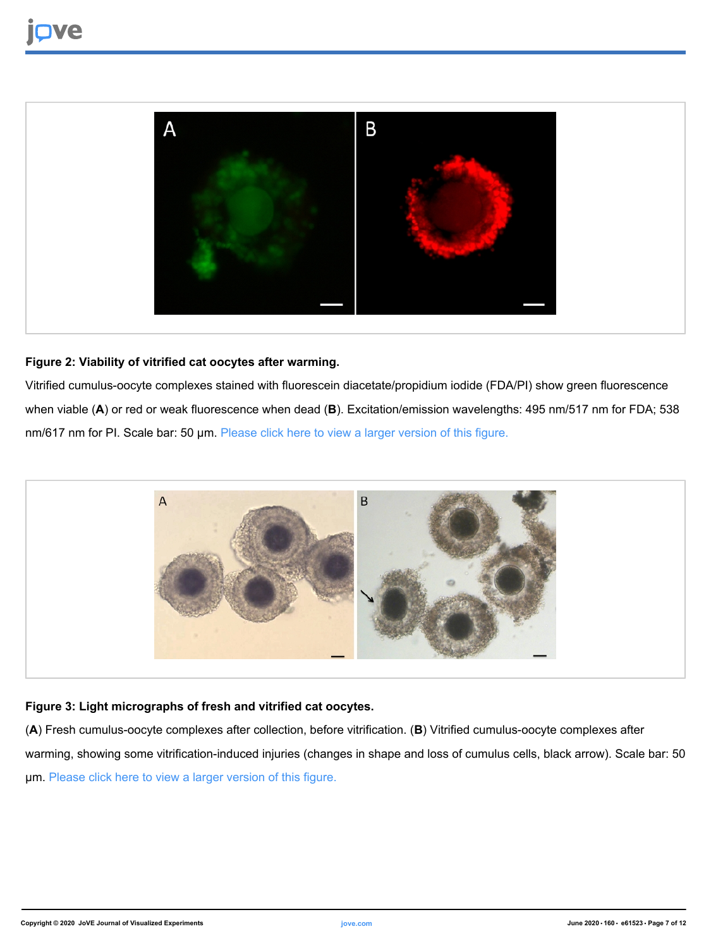

### **Figure 2: Viability of vitrified cat oocytes after warming.**

Vitrified cumulus-oocyte complexes stained with fluorescein diacetate/propidium iodide (FDA/PI) show green fluorescence when viable (**A**) or red or weak fluorescence when dead (**B**). Excitation/emission wavelengths: 495 nm/517 nm for FDA; 538 nm/617 nm for PI. Scale bar: 50 µm. [Please click here to view a larger version of this figure.](https://www.jove.com/files/ftp_upload/61523/61523fig02large.jpg)



### **Figure 3: Light micrographs of fresh and vitrified cat oocytes.**

(**A**) Fresh cumulus-oocyte complexes after collection, before vitrification. (**B**) Vitrified cumulus-oocyte complexes after warming, showing some vitrification-induced injuries (changes in shape and loss of cumulus cells, black arrow). Scale bar: 50 µm. [Please click here to view a larger version of this figure.](https://www.jove.com/files/ftp_upload/61523/61523fig03large.jpg)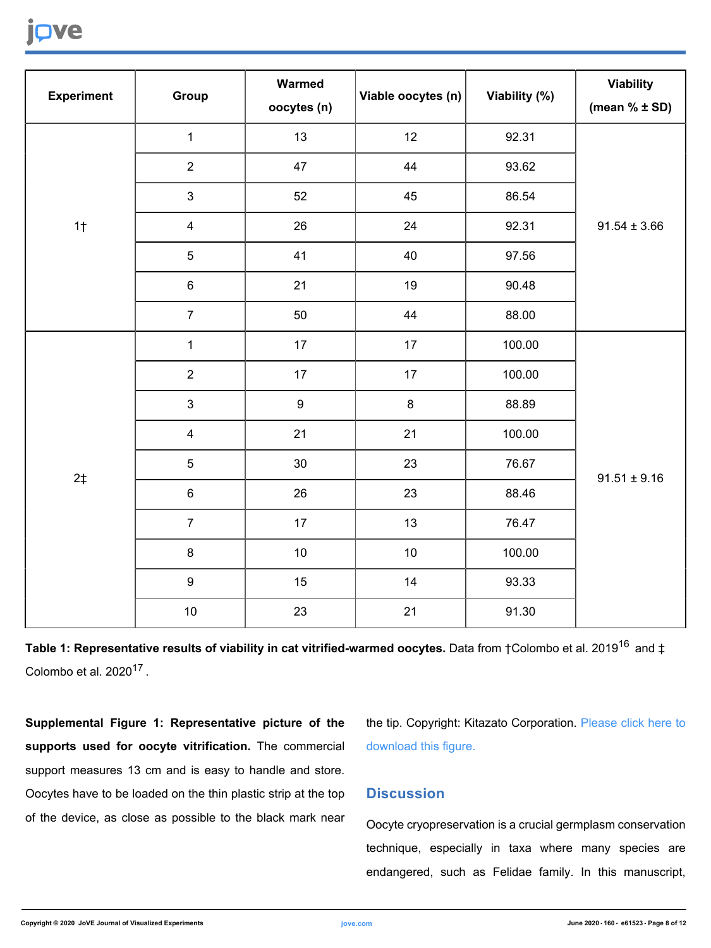## **Ove**

| <b>Experiment</b> | Group                   | Warmed<br>oocytes (n) | Viable oocytes (n) | Viability (%) | <b>Viability</b><br>(mean $% \pm SD$ ) |
|-------------------|-------------------------|-----------------------|--------------------|---------------|----------------------------------------|
| 1 <sub>†</sub>    | $\mathbf{1}$            | 13                    | 12                 | 92.31         | $91.54 \pm 3.66$                       |
|                   | $\mathbf 2$             | 47                    | 44                 | 93.62         |                                        |
|                   | $\mathbf{3}$            | 52                    | 45                 | 86.54         |                                        |
|                   | $\overline{\mathbf{4}}$ | 26                    | 24                 | 92.31         |                                        |
|                   | $\sqrt{5}$              | 41                    | 40                 | 97.56         |                                        |
|                   | $\,6\,$                 | 21                    | 19                 | 90.48         |                                        |
|                   | $\overline{7}$          | 50                    | 44                 | 88.00         |                                        |
| 2 <sup>†</sup>    | $\mathbf 1$             | 17                    | 17                 | 100.00        | $91.51 \pm 9.16$                       |
|                   | $\mathbf 2$             | 17                    | 17                 | 100.00        |                                        |
|                   | $\mathfrak{S}$          | $\boldsymbol{9}$      | $\bf 8$            | 88.89         |                                        |
|                   | $\overline{\mathbf{4}}$ | 21                    | 21                 | 100.00        |                                        |
|                   | 5                       | 30 <sub>o</sub>       | 23                 | 76.67         |                                        |
|                   | $\,6\,$                 | 26                    | 23                 | 88.46         |                                        |
|                   | $\overline{7}$          | 17                    | 13                 | 76.47         |                                        |
|                   | $\bf 8$                 | 10                    | $10$               | 100.00        |                                        |
|                   | $\boldsymbol{9}$        | 15                    | 14                 | 93.33         |                                        |
|                   | $10\,$                  | 23                    | 21                 | 91.30         |                                        |

Table 1: Representative results of viability in cat vitrified-warmed oocytes. Data from †Colombo et al. 2019<sup>16</sup> and ‡ Colombo et al.  $2020^{17}$ .

**Supplemental Figure 1: Representative picture of the supports used for oocyte vitrification.** The commercial support measures 13 cm and is easy to handle and store. Oocytes have to be loaded on the thin plastic strip at the top of the device, as close as possible to the black mark near the tip. Copyright: Kitazato Corporation. [Please click here to](https://cloudflare.jove.com/files/ftp_upload/61523/61523supfig01.jpg) [download this figure.](https://cloudflare.jove.com/files/ftp_upload/61523/61523supfig01.jpg)

### **Discussion**

Oocyte cryopreservation is a crucial germplasm conservation technique, especially in taxa where many species are endangered, such as Felidae family. In this manuscript,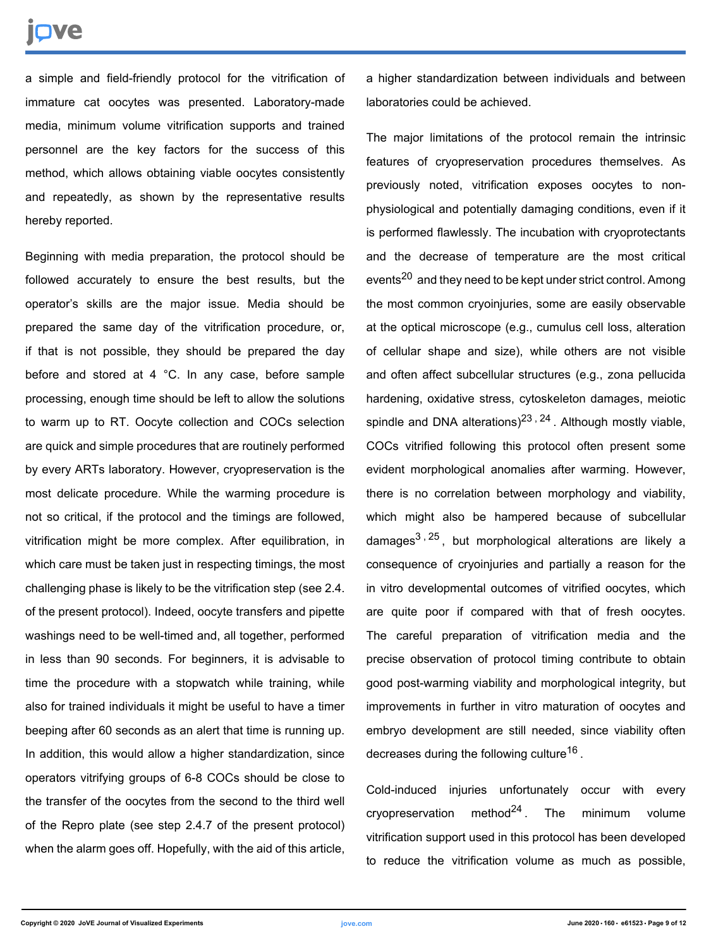## nve

a simple and field-friendly protocol for the vitrification of immature cat oocytes was presented. Laboratory-made media, minimum volume vitrification supports and trained personnel are the key factors for the success of this method, which allows obtaining viable oocytes consistently and repeatedly, as shown by the representative results hereby reported.

Beginning with media preparation, the protocol should be followed accurately to ensure the best results, but the operator's skills are the major issue. Media should be prepared the same day of the vitrification procedure, or, if that is not possible, they should be prepared the day before and stored at 4 °C. In any case, before sample processing, enough time should be left to allow the solutions to warm up to RT. Oocyte collection and COCs selection are quick and simple procedures that are routinely performed by every ARTs laboratory. However, cryopreservation is the most delicate procedure. While the warming procedure is not so critical, if the protocol and the timings are followed, vitrification might be more complex. After equilibration, in which care must be taken just in respecting timings, the most challenging phase is likely to be the vitrification step (see 2.4. of the present protocol). Indeed, oocyte transfers and pipette washings need to be well-timed and, all together, performed in less than 90 seconds. For beginners, it is advisable to time the procedure with a stopwatch while training, while also for trained individuals it might be useful to have a timer beeping after 60 seconds as an alert that time is running up. In addition, this would allow a higher standardization, since operators vitrifying groups of 6-8 COCs should be close to the transfer of the oocytes from the second to the third well of the Repro plate (see step 2.4.7 of the present protocol) when the alarm goes off. Hopefully, with the aid of this article,

a higher standardization between individuals and between laboratories could be achieved.

The major limitations of the protocol remain the intrinsic features of cryopreservation procedures themselves. As previously noted, vitrification exposes oocytes to nonphysiological and potentially damaging conditions, even if it is performed flawlessly. The incubation with cryoprotectants and the decrease of temperature are the most critical events<sup>20</sup> and they need to be kept under strict control. Among the most common cryoinjuries, some are easily observable at the optical microscope (e.g., cumulus cell loss, alteration of cellular shape and size), while others are not visible and often affect subcellular structures (e.g., zona pellucida hardening, oxidative stress, cytoskeleton damages, meiotic spindle and DNA alterations)<sup>23, 24</sup>. Although mostly viable, COCs vitrified following this protocol often present some evident morphological anomalies after warming. However, there is no correlation between morphology and viability, which might also be hampered because of subcellular damages<sup>3, 25</sup>, but morphological alterations are likely a consequence of cryoinjuries and partially a reason for the in vitro developmental outcomes of vitrified oocytes, which are quite poor if compared with that of fresh oocytes. The careful preparation of vitrification media and the precise observation of protocol timing contribute to obtain good post-warming viability and morphological integrity, but improvements in further in vitro maturation of oocytes and embryo development are still needed, since viability often decreases during the following culture<sup>16</sup>.

Cold-induced injuries unfortunately occur with every cryopreservation method<sup>24</sup>. The minimum volume vitrification support used in this protocol has been developed to reduce the vitrification volume as much as possible,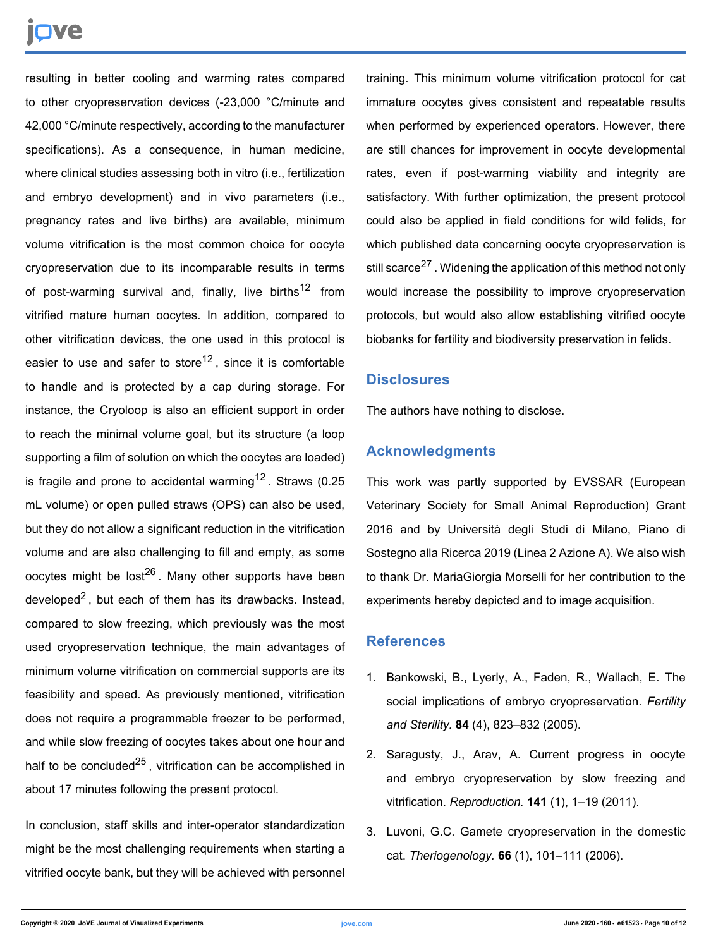# nve

resulting in better cooling and warming rates compared to other cryopreservation devices (-23,000 °C/minute and 42,000 °C/minute respectively, according to the manufacturer specifications). As a consequence, in human medicine, where clinical studies assessing both in vitro (i.e., fertilization and embryo development) and in vivo parameters (i.e., pregnancy rates and live births) are available, minimum volume vitrification is the most common choice for oocyte cryopreservation due to its incomparable results in terms of post-warming survival and, finally, live births<sup>12</sup> from vitrified mature human oocytes. In addition, compared to other vitrification devices, the one used in this protocol is easier to use and safer to store<sup>12</sup>, since it is comfortable to handle and is protected by a cap during storage. For instance, the Cryoloop is also an efficient support in order to reach the minimal volume goal, but its structure (a loop supporting a film of solution on which the oocytes are loaded) is fragile and prone to accidental warming<sup>12</sup>. Straws  $(0.25)$ mL volume) or open pulled straws (OPS) can also be used, but they do not allow a significant reduction in the vitrification volume and are also challenging to fill and empty, as some oocytes might be lost<sup>26</sup>. Many other supports have been developed<sup>2</sup>, but each of them has its drawbacks. Instead, compared to slow freezing, which previously was the most used cryopreservation technique, the main advantages of minimum volume vitrification on commercial supports are its feasibility and speed. As previously mentioned, vitrification does not require a programmable freezer to be performed, and while slow freezing of oocytes takes about one hour and half to be concluded<sup>25</sup>, vitrification can be accomplished in about 17 minutes following the present protocol.

In conclusion, staff skills and inter-operator standardization might be the most challenging requirements when starting a vitrified oocyte bank, but they will be achieved with personnel

training. This minimum volume vitrification protocol for cat immature oocytes gives consistent and repeatable results when performed by experienced operators. However, there are still chances for improvement in oocyte developmental rates, even if post-warming viability and integrity are satisfactory. With further optimization, the present protocol could also be applied in field conditions for wild felids, for which published data concerning oocyte cryopreservation is still scarce<sup>27</sup>. Widening the application of this method not only would increase the possibility to improve cryopreservation protocols, but would also allow establishing vitrified oocyte biobanks for fertility and biodiversity preservation in felids.

### **Disclosures**

The authors have nothing to disclose.

### **Acknowledgments**

This work was partly supported by EVSSAR (European Veterinary Society for Small Animal Reproduction) Grant 2016 and by Università degli Studi di Milano, Piano di Sostegno alla Ricerca 2019 (Linea 2 Azione A). We also wish to thank Dr. MariaGiorgia Morselli for her contribution to the experiments hereby depicted and to image acquisition.

### **References**

- 1. Bankowski, B., Lyerly, A., Faden, R., Wallach, E. The social implications of embryo cryopreservation. *Fertility and Sterility.* **84** (4), 823–832 (2005).
- 2. Saragusty, J., Arav, A. Current progress in oocyte and embryo cryopreservation by slow freezing and vitrification. *Reproduction.* **141** (1), 1–19 (2011).
- 3. Luvoni, G.C. Gamete cryopreservation in the domestic cat. *Theriogenology.* **66** (1), 101–111 (2006).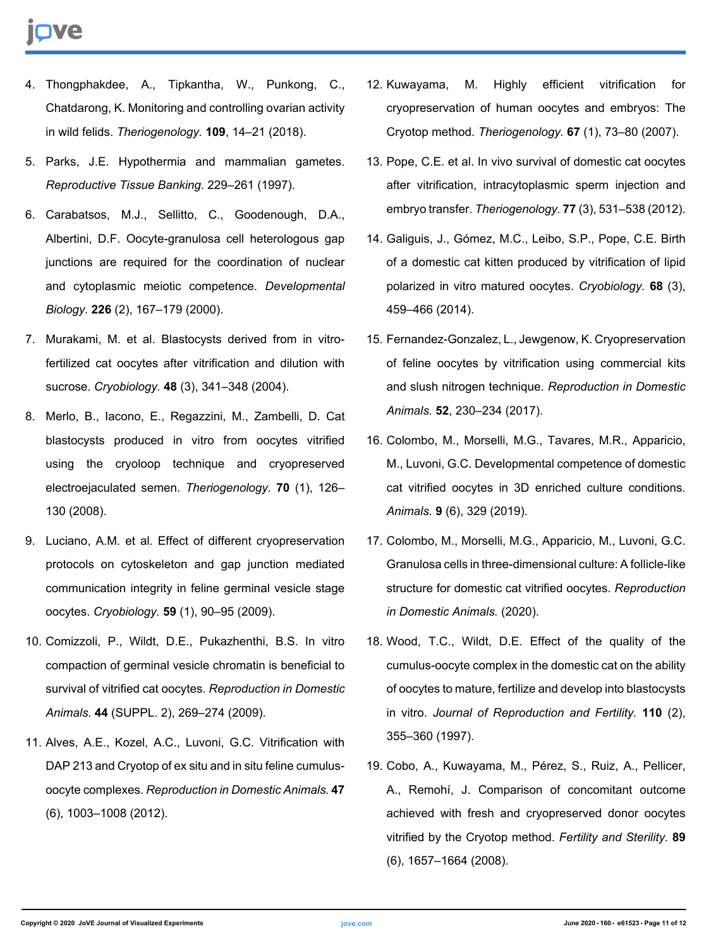- 4. Thongphakdee, A., Tipkantha, W., Punkong, C., Chatdarong, K. Monitoring and controlling ovarian activity in wild felids. *Theriogenology.* **109**, 14–21 (2018).
- 5. Parks, J.E. Hypothermia and mammalian gametes. *Reproductive Tissue Banking.* 229–261 (1997).
- 6. Carabatsos, M.J., Sellitto, C., Goodenough, D.A., Albertini, D.F. Oocyte-granulosa cell heterologous gap junctions are required for the coordination of nuclear and cytoplasmic meiotic competence. *Developmental Biology.* **226** (2), 167–179 (2000).
- 7. Murakami, M. et al. Blastocysts derived from in vitrofertilized cat oocytes after vitrification and dilution with sucrose. *Cryobiology.* **48** (3), 341–348 (2004).
- 8. Merlo, B., Iacono, E., Regazzini, M., Zambelli, D. Cat blastocysts produced in vitro from oocytes vitrified using the cryoloop technique and cryopreserved electroejaculated semen. *Theriogenology.* **70** (1), 126– 130 (2008).
- 9. Luciano, A.M. et al. Effect of different cryopreservation protocols on cytoskeleton and gap junction mediated communication integrity in feline germinal vesicle stage oocytes. *Cryobiology.* **59** (1), 90–95 (2009).
- 10. Comizzoli, P., Wildt, D.E., Pukazhenthi, B.S. In vitro compaction of germinal vesicle chromatin is beneficial to survival of vitrified cat oocytes. *Reproduction in Domestic Animals.* **44** (SUPPL. 2), 269–274 (2009).
- 11. Alves, A.E., Kozel, A.C., Luvoni, G.C. Vitrification with DAP 213 and Cryotop of ex situ and in situ feline cumulusoocyte complexes. *Reproduction in Domestic Animals.***47** (6), 1003–1008 (2012).
- 12. Kuwayama, M. Highly efficient vitrification for cryopreservation of human oocytes and embryos: The Cryotop method. *Theriogenology.* **67** (1), 73–80 (2007).
- 13. Pope, C.E. et al. In vivo survival of domestic cat oocytes after vitrification, intracytoplasmic sperm injection and embryo transfer. *Theriogenology.***77** (3), 531–538 (2012).
- 14. Galiguis, J., Gómez, M.C., Leibo, S.P., Pope, C.E. Birth of a domestic cat kitten produced by vitrification of lipid polarized in vitro matured oocytes. *Cryobiology.* **68** (3), 459–466 (2014).
- 15. Fernandez-Gonzalez, L., Jewgenow, K. Cryopreservation of feline oocytes by vitrification using commercial kits and slush nitrogen technique. *Reproduction in Domestic Animals.* **52**, 230–234 (2017).
- 16. Colombo, M., Morselli, M.G., Tavares, M.R., Apparicio, M., Luvoni, G.C. Developmental competence of domestic cat vitrified oocytes in 3D enriched culture conditions. *Animals.* **9** (6), 329 (2019).
- 17. Colombo, M., Morselli, M.G., Apparicio, M., Luvoni, G.C. Granulosa cells in three-dimensional culture: A follicle-like structure for domestic cat vitrified oocytes. *Reproduction in Domestic Animals.* (2020).
- 18. Wood, T.C., Wildt, D.E. Effect of the quality of the cumulus-oocyte complex in the domestic cat on the ability of oocytes to mature, fertilize and develop into blastocysts in vitro. *Journal of Reproduction and Fertility.* **110** (2), 355–360 (1997).
- 19. Cobo, A., Kuwayama, M., Pérez, S., Ruiz, A., Pellicer, A., Remohí, J. Comparison of concomitant outcome achieved with fresh and cryopreserved donor oocytes vitrified by the Cryotop method. *Fertility and Sterility.* **89** (6), 1657–1664 (2008).